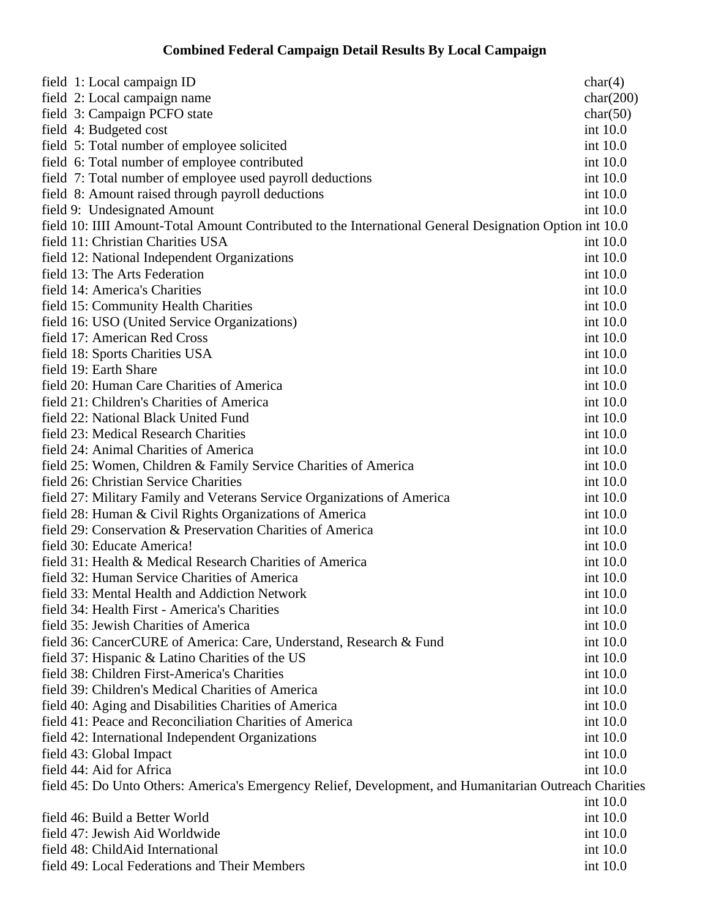## **Combined Federal Campaign Detail Results By Local Campaign**

| field 1: Local campaign ID                                                                              | char(4)   |
|---------------------------------------------------------------------------------------------------------|-----------|
| field 2: Local campaign name                                                                            | char(200) |
| field 3: Campaign PCFO state                                                                            | char(50)  |
| field 4: Budgeted cost                                                                                  | int 10.0  |
| field 5: Total number of employee solicited                                                             | int 10.0  |
| field 6: Total number of employee contributed                                                           | int 10.0  |
| field 7: Total number of employee used payroll deductions                                               | int 10.0  |
| field 8: Amount raised through payroll deductions                                                       | int 10.0  |
| field 9: Undesignated Amount                                                                            | int 10.0  |
| field 10: IIII Amount-Total Amount Contributed to the International General Designation Option int 10.0 |           |
| field 11: Christian Charities USA                                                                       | int 10.0  |
| field 12: National Independent Organizations                                                            | int 10.0  |
| field 13: The Arts Federation                                                                           | int 10.0  |
| field 14: America's Charities                                                                           | int 10.0  |
| field 15: Community Health Charities                                                                    | int 10.0  |
| field 16: USO (United Service Organizations)                                                            | int 10.0  |
| field 17: American Red Cross                                                                            | int 10.0  |
| field 18: Sports Charities USA                                                                          | int 10.0  |
| field 19: Earth Share                                                                                   | int 10.0  |
| field 20: Human Care Charities of America                                                               | int 10.0  |
| field 21: Children's Charities of America                                                               | int 10.0  |
| field 22: National Black United Fund                                                                    | int 10.0  |
| field 23: Medical Research Charities                                                                    | int 10.0  |
| field 24: Animal Charities of America                                                                   | int 10.0  |
| field 25: Women, Children & Family Service Charities of America                                         | int 10.0  |
| field 26: Christian Service Charities                                                                   | int 10.0  |
| field 27: Military Family and Veterans Service Organizations of America                                 | int 10.0  |
| field 28: Human & Civil Rights Organizations of America                                                 | int 10.0  |
| field 29: Conservation & Preservation Charities of America                                              | int 10.0  |
| field 30: Educate America!                                                                              | int 10.0  |
| field 31: Health & Medical Research Charities of America                                                | int 10.0  |
| field 32: Human Service Charities of America                                                            | int 10.0  |
| field 33: Mental Health and Addiction Network                                                           | int 10.0  |
| field 34: Health First - America's Charities                                                            | int 10.0  |
| field 35: Jewish Charities of America                                                                   | int 10.0  |
| field 36: CancerCURE of America: Care, Understand, Research & Fund                                      | int 10.0  |
| field 37: Hispanic & Latino Charities of the US                                                         | int 10.0  |
| field 38: Children First-America's Charities                                                            | int 10.0  |
| field 39: Children's Medical Charities of America                                                       | int 10.0  |
| field 40: Aging and Disabilities Charities of America                                                   | int 10.0  |
| field 41: Peace and Reconciliation Charities of America                                                 | int 10.0  |
| field 42: International Independent Organizations                                                       | int 10.0  |
| field 43: Global Impact                                                                                 | int 10.0  |
| field 44: Aid for Africa                                                                                | int 10.0  |
| field 45: Do Unto Others: America's Emergency Relief, Development, and Humanitarian Outreach Charities  |           |
|                                                                                                         | int 10.0  |
| field 46: Build a Better World                                                                          | int 10.0  |
| field 47: Jewish Aid Worldwide                                                                          | int 10.0  |
| field 48: ChildAid International                                                                        | int 10.0  |
| field 49: Local Federations and Their Members                                                           | int 10.0  |